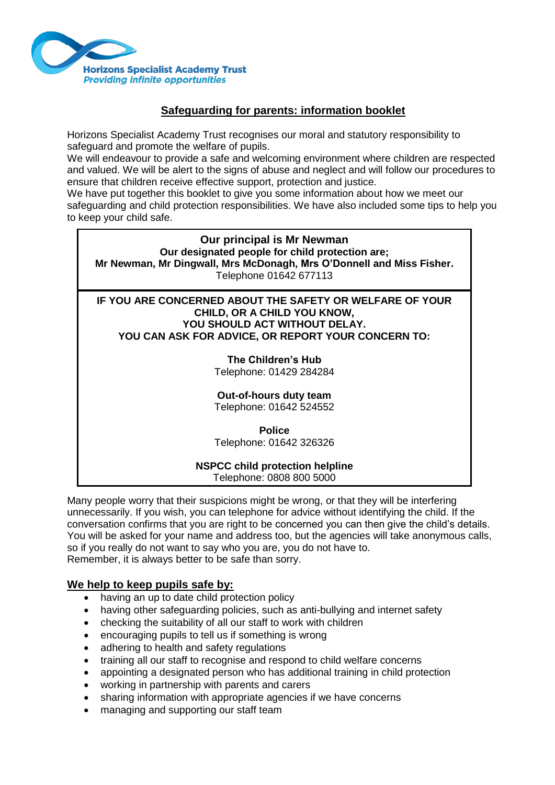

## **Safeguarding for parents: information booklet**

Horizons Specialist Academy Trust recognises our moral and statutory responsibility to safeguard and promote the welfare of pupils.

We will endeavour to provide a safe and welcoming environment where children are respected and valued. We will be alert to the signs of abuse and neglect and will follow our procedures to ensure that children receive effective support, protection and justice.

We have put together this booklet to give you some information about how we meet our safeguarding and child protection responsibilities. We have also included some tips to help you

to keep your child safe.

**Our principal is Mr Newman Our designated people for child protection are; Mr Newman, Mr Dingwall, Mrs McDonagh, Mrs O'Donnell and Miss Fisher.** Telephone 01642 677113

**IF YOU ARE CONCERNED ABOUT THE SAFETY OR WELFARE OF YOUR CHILD, OR A CHILD YOU KNOW, YOU SHOULD ACT WITHOUT DELAY. YOU CAN ASK FOR ADVICE, OR REPORT YOUR CONCERN TO:**

## **The Children's Hub**

Telephone: 01429 284284

# **Out-of-hours duty team**

Telephone: 01642 524552

**Police** Telephone: 01642 326326

#### **NSPCC child protection helpline** Telephone: 0808 800 5000

Many people worry that their suspicions might be wrong, or that they will be interfering unnecessarily. If you wish, you can telephone for advice without identifying the child. If the conversation confirms that you are right to be concerned you can then give the child's details. You will be asked for your name and address too, but the agencies will take anonymous calls, so if you really do not want to say who you are, you do not have to. Remember, it is always better to be safe than sorry.

## **We help to keep pupils safe by:**

- having an up to date child protection policy
- having other safeguarding policies, such as anti-bullying and internet safety
- checking the suitability of all our staff to work with children
- encouraging pupils to tell us if something is wrong
- adhering to health and safety regulations
- training all our staff to recognise and respond to child welfare concerns
- appointing a designated person who has additional training in child protection
- working in partnership with parents and carers
- sharing information with appropriate agencies if we have concerns
- managing and supporting our staff team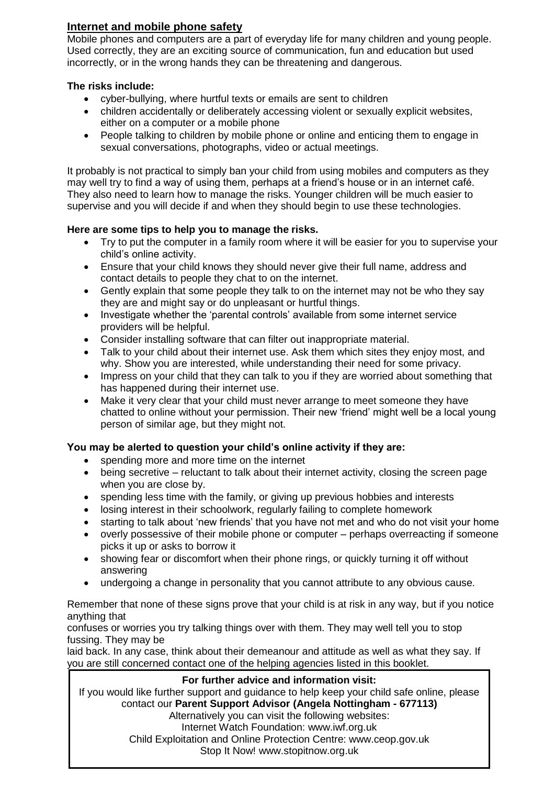# **Internet and mobile phone safety**

Mobile phones and computers are a part of everyday life for many children and young people. Used correctly, they are an exciting source of communication, fun and education but used incorrectly, or in the wrong hands they can be threatening and dangerous.

### **The risks include:**

- cyber-bullying, where hurtful texts or emails are sent to children
- children accidentally or deliberately accessing violent or sexually explicit websites, either on a computer or a mobile phone
- People talking to children by mobile phone or online and enticing them to engage in sexual conversations, photographs, video or actual meetings.

It probably is not practical to simply ban your child from using mobiles and computers as they may well try to find a way of using them, perhaps at a friend's house or in an internet café. They also need to learn how to manage the risks. Younger children will be much easier to supervise and you will decide if and when they should begin to use these technologies.

## **Here are some tips to help you to manage the risks.**

- Try to put the computer in a family room where it will be easier for you to supervise your child's online activity.
- Ensure that your child knows they should never give their full name, address and contact details to people they chat to on the internet.
- Gently explain that some people they talk to on the internet may not be who they say they are and might say or do unpleasant or hurtful things.
- Investigate whether the 'parental controls' available from some internet service providers will be helpful.
- Consider installing software that can filter out inappropriate material.
- Talk to your child about their internet use. Ask them which sites they enjoy most, and why. Show you are interested, while understanding their need for some privacy.
- Impress on your child that they can talk to you if they are worried about something that has happened during their internet use.
- Make it very clear that your child must never arrange to meet someone they have chatted to online without your permission. Their new 'friend' might well be a local young person of similar age, but they might not.

## **You may be alerted to question your child's online activity if they are:**

- spending more and more time on the internet
- being secretive reluctant to talk about their internet activity, closing the screen page when you are close by.
- spending less time with the family, or giving up previous hobbies and interests
- losing interest in their schoolwork, regularly failing to complete homework
- starting to talk about 'new friends' that you have not met and who do not visit your home
- overly possessive of their mobile phone or computer perhaps overreacting if someone picks it up or asks to borrow it
- showing fear or discomfort when their phone rings, or quickly turning it off without answering
- undergoing a change in personality that you cannot attribute to any obvious cause.

Remember that none of these signs prove that your child is at risk in any way, but if you notice anything that

confuses or worries you try talking things over with them. They may well tell you to stop fussing. They may be

laid back. In any case, think about their demeanour and attitude as well as what they say. If you are still concerned contact one of the helping agencies listed in this booklet.

### **For further advice and information visit:**

If you would like further support and guidance to help keep your child safe online, please contact our **Parent Support Advisor (Angela Nottingham - 677113)**

Alternatively you can visit the following websites: Internet Watch Foundation: www.iwf.org.uk Child Exploitation and Online Protection Centre: www.ceop.gov.uk Stop It Now! www.stopitnow.org.uk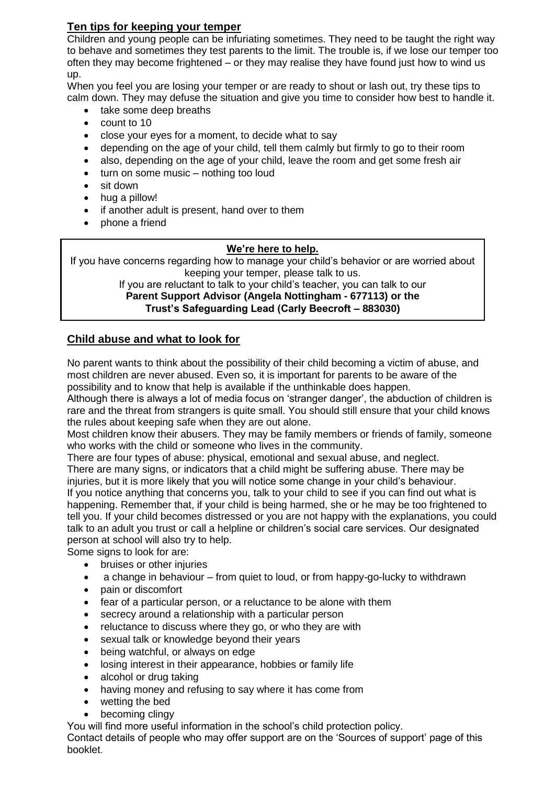# **Ten tips for keeping your temper**

Children and young people can be infuriating sometimes. They need to be taught the right way to behave and sometimes they test parents to the limit. The trouble is, if we lose our temper too often they may become frightened – or they may realise they have found just how to wind us up.

When you feel you are losing your temper or are ready to shout or lash out, try these tips to calm down. They may defuse the situation and give you time to consider how best to handle it.

- take some deep breaths
- count to 10
- close your eyes for a moment, to decide what to say
- depending on the age of your child, tell them calmly but firmly to go to their room
- also, depending on the age of your child, leave the room and get some fresh air
- turn on some music nothing too loud
- sit down
- hug a pillow!
- if another adult is present, hand over to them
- phone a friend

### **We're here to help.**

If you have concerns regarding how to manage your child's behavior or are worried about keeping your temper, please talk to us.

If you are reluctant to talk to your child's teacher, you can talk to our **Parent Support Advisor (Angela Nottingham - 677113) or the Trust's Safeguarding Lead (Carly Beecroft – 883030)**

# **Child abuse and what to look for**

No parent wants to think about the possibility of their child becoming a victim of abuse, and most children are never abused. Even so, it is important for parents to be aware of the possibility and to know that help is available if the unthinkable does happen.

Although there is always a lot of media focus on 'stranger danger', the abduction of children is rare and the threat from strangers is quite small. You should still ensure that your child knows the rules about keeping safe when they are out alone.

Most children know their abusers. They may be family members or friends of family, someone who works with the child or someone who lives in the community.

There are four types of abuse: physical, emotional and sexual abuse, and neglect.

There are many signs, or indicators that a child might be suffering abuse. There may be injuries, but it is more likely that you will notice some change in your child's behaviour. If you notice anything that concerns you, talk to your child to see if you can find out what is happening. Remember that, if your child is being harmed, she or he may be too frightened to tell you. If your child becomes distressed or you are not happy with the explanations, you could talk to an adult you trust or call a helpline or children's social care services. Our designated person at school will also try to help.

Some signs to look for are:

- bruises or other injuries
- a change in behaviour from quiet to loud, or from happy-go-lucky to withdrawn
- pain or discomfort
- fear of a particular person, or a reluctance to be alone with them
- secrecy around a relationship with a particular person
- reluctance to discuss where they go, or who they are with
- sexual talk or knowledge beyond their years
- being watchful, or always on edge
- losing interest in their appearance, hobbies or family life
- alcohol or drug taking
- having money and refusing to say where it has come from
- wetting the bed
- becoming clingy

You will find more useful information in the school's child protection policy.

Contact details of people who may offer support are on the 'Sources of support' page of this booklet.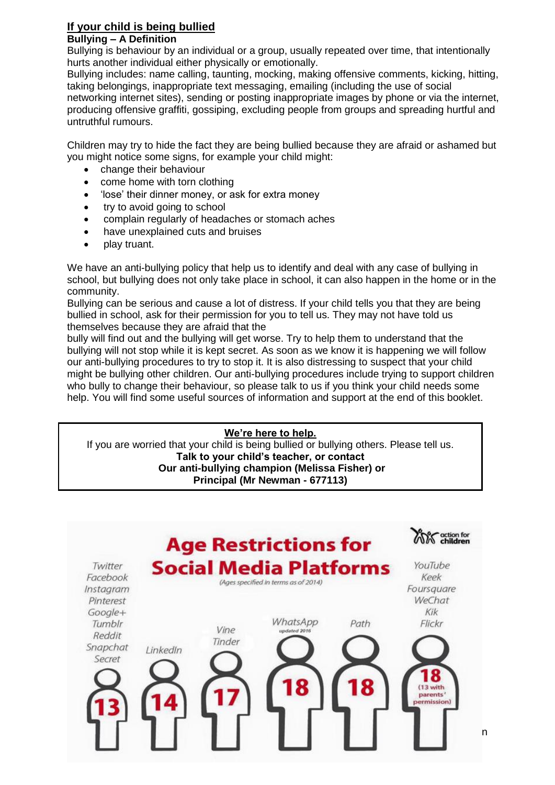#### **If your child is being bullied Bullying – A Definition**

Bullying is behaviour by an individual or a group, usually repeated over time, that intentionally hurts another individual either physically or emotionally.

Bullying includes: name calling, taunting, mocking, making offensive comments, kicking, hitting, taking belongings, inappropriate text messaging, emailing (including the use of social networking internet sites), sending or posting inappropriate images by phone or via the internet, producing offensive graffiti, gossiping, excluding people from groups and spreading hurtful and untruthful rumours.

Children may try to hide the fact they are being bullied because they are afraid or ashamed but you might notice some signs, for example your child might:

- change their behaviour
- come home with torn clothing
- 'lose' their dinner money, or ask for extra money
- try to avoid going to school
- complain regularly of headaches or stomach aches
- have unexplained cuts and bruises
- play truant.

We have an anti-bullying policy that help us to identify and deal with any case of bullying in school, but bullying does not only take place in school, it can also happen in the home or in the community.

Bullying can be serious and cause a lot of distress. If your child tells you that they are being bullied in school, ask for their permission for you to tell us. They may not have told us themselves because they are afraid that the

bully will find out and the bullying will get worse. Try to help them to understand that the bullying will not stop while it is kept secret. As soon as we know it is happening we will follow our anti-bullying procedures to try to stop it. It is also distressing to suspect that your child might be bullying other children. Our anti-bullying procedures include trying to support children who bully to change their behaviour, so please talk to us if you think your child needs some help. You will find some useful sources of information and support at the end of this booklet.

## **We're here to help.**

If you are worried that your child is being bullied or bullying others. Please tell us. **Talk to your child's teacher, or contact Our anti-bullying champion (Melissa Fisher) or Principal (Mr Newman - 677113)**

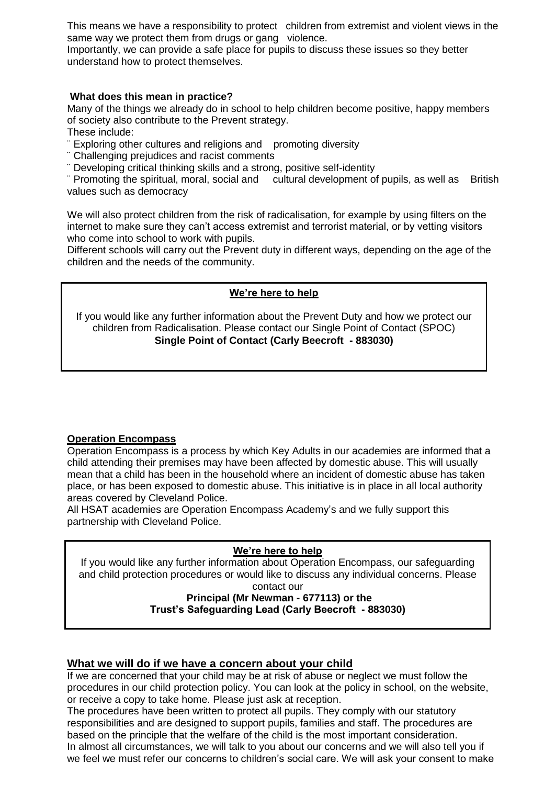This means we have a responsibility to protect children from extremist and violent views in the same way we protect them from drugs or gang violence.

Importantly, we can provide a safe place for pupils to discuss these issues so they better understand how to protect themselves.

### **What does this mean in practice?**

Many of the things we already do in school to help children become positive, happy members of society also contribute to the Prevent strategy.

These include:

¨ Exploring other cultures and religions and promoting diversity

- ¨ Challenging prejudices and racist comments
- ¨ Developing critical thinking skills and a strong, positive self-identity

¨ Promoting the spiritual, moral, social and cultural development of pupils, as well as British values such as democracy

We will also protect children from the risk of radicalisation, for example by using filters on the internet to make sure they can't access extremist and terrorist material, or by vetting visitors who come into school to work with pupils.

Different schools will carry out the Prevent duty in different ways, depending on the age of the children and the needs of the community.

## **We're here to help**

If you would like any further information about the Prevent Duty and how we protect our children from Radicalisation. Please contact our Single Point of Contact (SPOC) **Single Point of Contact (Carly Beecroft - 883030)**

## **Operation Encompass**

Operation Encompass is a process by which Key Adults in our academies are informed that a child attending their premises may have been affected by domestic abuse. This will usually mean that a child has been in the household where an incident of domestic abuse has taken place, or has been exposed to domestic abuse. This initiative is in place in all local authority areas covered by Cleveland Police.

All HSAT academies are Operation Encompass Academy's and we fully support this partnership with Cleveland Police.

### **We're here to help**

If you would like any further information about Operation Encompass, our safeguarding and child protection procedures or would like to discuss any individual concerns. Please

contact our

#### **Principal (Mr Newman - 677113) or the Trust's Safeguarding Lead (Carly Beecroft - 883030)**

### **What we will do if we have a concern about your child**

If we are concerned that your child may be at risk of abuse or neglect we must follow the procedures in our child protection policy. You can look at the policy in school, on the website, or receive a copy to take home. Please just ask at reception.

The procedures have been written to protect all pupils. They comply with our statutory responsibilities and are designed to support pupils, families and staff. The procedures are based on the principle that the welfare of the child is the most important consideration. In almost all circumstances, we will talk to you about our concerns and we will also tell you if we feel we must refer our concerns to children's social care. We will ask your consent to make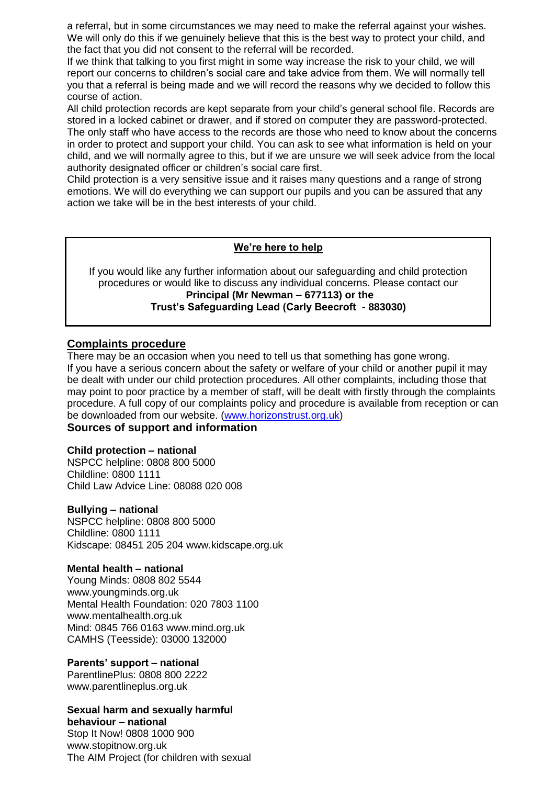a referral, but in some circumstances we may need to make the referral against your wishes. We will only do this if we genuinely believe that this is the best way to protect your child, and the fact that you did not consent to the referral will be recorded.

If we think that talking to you first might in some way increase the risk to your child, we will report our concerns to children's social care and take advice from them. We will normally tell you that a referral is being made and we will record the reasons why we decided to follow this course of action.

All child protection records are kept separate from your child's general school file. Records are stored in a locked cabinet or drawer, and if stored on computer they are password-protected. The only staff who have access to the records are those who need to know about the concerns in order to protect and support your child. You can ask to see what information is held on your child, and we will normally agree to this, but if we are unsure we will seek advice from the local authority designated officer or children's social care first.

Child protection is a very sensitive issue and it raises many questions and a range of strong emotions. We will do everything we can support our pupils and you can be assured that any action we take will be in the best interests of your child.

### **We're here to help**

If you would like any further information about our safeguarding and child protection procedures or would like to discuss any individual concerns. Please contact our **Principal (Mr Newman – 677113) or the Trust's Safeguarding Lead (Carly Beecroft - 883030)**

## **Complaints procedure**

There may be an occasion when you need to tell us that something has gone wrong. If you have a serious concern about the safety or welfare of your child or another pupil it may be dealt with under our child protection procedures. All other complaints, including those that may point to poor practice by a member of staff, will be dealt with firstly through the complaints procedure. A full copy of our complaints policy and procedure is available from reception or can be downloaded from our website. [\(www.horizonstrust.org.uk\)](http://www.horizonstrust.org.uk/)

# **Sources of support and information**

### **Child protection – national**

NSPCC helpline: 0808 800 5000 Childline: 0800 1111 Child Law Advice Line: 08088 020 008

#### **Bullying – national**

NSPCC helpline: 0808 800 5000 Childline: 0800 1111 Kidscape: 08451 205 204 www.kidscape.org.uk

#### **Mental health – national**

Young Minds: 0808 802 5544 www.youngminds.org.uk Mental Health Foundation: 020 7803 1100 www.mentalhealth.org.uk Mind: 0845 766 0163 www.mind.org.uk CAMHS (Teesside): 03000 132000

### **Parents' support – national**

ParentlinePlus: 0808 800 2222 www.parentlineplus.org.uk

#### **Sexual harm and sexually harmful behaviour – national**

Stop It Now! 0808 1000 900 www.stopitnow.org.uk The AIM Project (for children with sexual